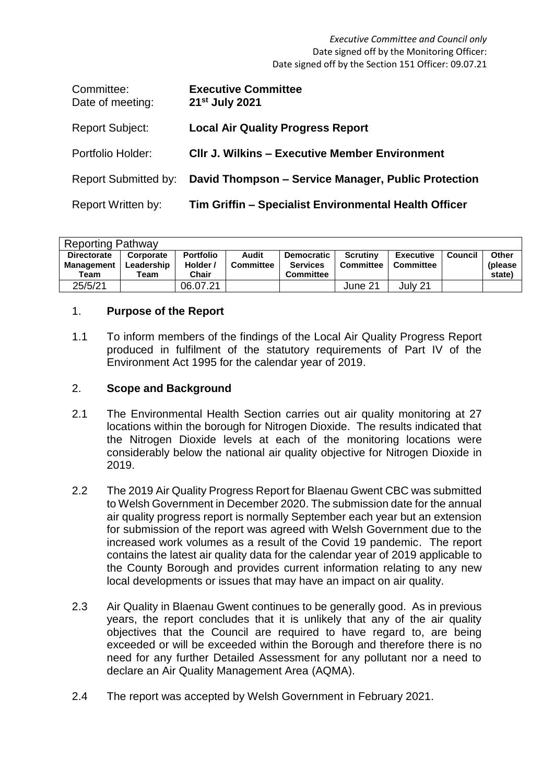*Executive Committee and Council only* Date signed off by the Monitoring Officer: Date signed off by the Section 151 Officer: 09.07.21

| Committee:<br>Date of meeting: | <b>Executive Committee</b><br>21 <sup>st</sup> July 2021 |
|--------------------------------|----------------------------------------------------------|
| <b>Report Subject:</b>         | <b>Local Air Quality Progress Report</b>                 |
| Portfolio Holder:              | <b>CIIr J. Wilkins - Executive Member Environment</b>    |
| <b>Report Submitted by:</b>    | David Thompson - Service Manager, Public Protection      |
| Report Written by:             | Tim Griffin – Specialist Environmental Health Officer    |

| <b>Reporting Pathway</b>                        |                                 |                                       |                           |                                                          |                       |                               |         |                             |  |  |
|-------------------------------------------------|---------------------------------|---------------------------------------|---------------------------|----------------------------------------------------------|-----------------------|-------------------------------|---------|-----------------------------|--|--|
| <b>Directorate</b><br><b>Management</b><br>Team | Corporate<br>Leadership<br>Team | <b>Portfolio</b><br>Holder /<br>Chair | Audit<br><b>Committee</b> | <b>Democratic</b><br><b>Services</b><br><b>Committee</b> | Scrutiny<br>Committee | Executive<br><b>Committee</b> | Council | Other<br>(please)<br>state) |  |  |
| 25/5/21                                         |                                 | 06.07.21                              |                           |                                                          | June 21               | July 21                       |         |                             |  |  |

#### 1. **Purpose of the Report**

1.1 To inform members of the findings of the Local Air Quality Progress Report produced in fulfilment of the statutory requirements of Part IV of the Environment Act 1995 for the calendar year of 2019.

#### 2. **Scope and Background**

- 2.1 The Environmental Health Section carries out air quality monitoring at 27 locations within the borough for Nitrogen Dioxide. The results indicated that the Nitrogen Dioxide levels at each of the monitoring locations were considerably below the national air quality objective for Nitrogen Dioxide in 2019.
- 2.2 The 2019 Air Quality Progress Report for Blaenau Gwent CBC was submitted to Welsh Government in December 2020. The submission date for the annual air quality progress report is normally September each year but an extension for submission of the report was agreed with Welsh Government due to the increased work volumes as a result of the Covid 19 pandemic. The report contains the latest air quality data for the calendar year of 2019 applicable to the County Borough and provides current information relating to any new local developments or issues that may have an impact on air quality.
- 2.3 Air Quality in Blaenau Gwent continues to be generally good. As in previous years, the report concludes that it is unlikely that any of the air quality objectives that the Council are required to have regard to, are being exceeded or will be exceeded within the Borough and therefore there is no need for any further Detailed Assessment for any pollutant nor a need to declare an Air Quality Management Area (AQMA).
- 2.4 The report was accepted by Welsh Government in February 2021.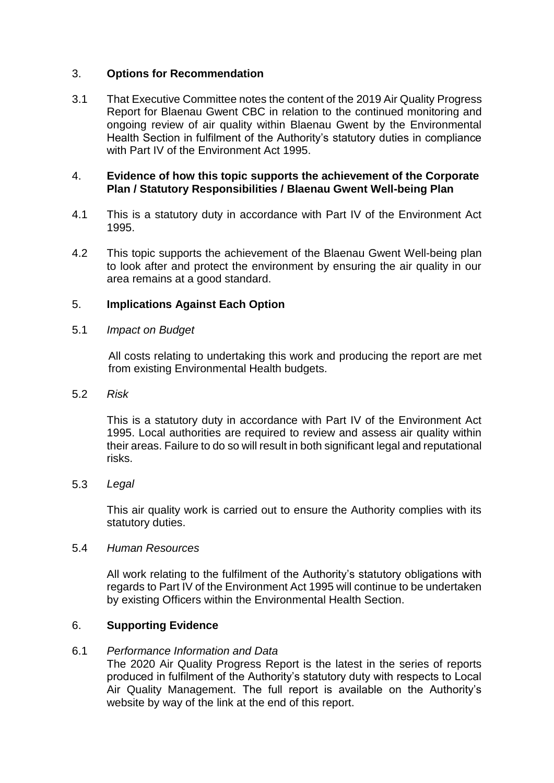### 3. **Options for Recommendation**

3.1 That Executive Committee notes the content of the 2019 Air Quality Progress Report for Blaenau Gwent CBC in relation to the continued monitoring and ongoing review of air quality within Blaenau Gwent by the Environmental Health Section in fulfilment of the Authority's statutory duties in compliance with Part IV of the Environment Act 1995.

### 4. **Evidence of how this topic supports the achievement of the Corporate Plan / Statutory Responsibilities / Blaenau Gwent Well-being Plan**

- 4.1 This is a statutory duty in accordance with Part IV of the Environment Act 1995.
- 4.2 This topic supports the achievement of the Blaenau Gwent Well-being plan to look after and protect the environment by ensuring the air quality in our area remains at a good standard.

### 5. **Implications Against Each Option**

5.1 *Impact on Budget*

All costs relating to undertaking this work and producing the report are met from existing Environmental Health budgets.

5.2 *Risk*

This is a statutory duty in accordance with Part IV of the Environment Act 1995. Local authorities are required to review and assess air quality within their areas. Failure to do so will result in both significant legal and reputational risks.

5.3 *Legal*

This air quality work is carried out to ensure the Authority complies with its statutory duties.

### 5.4 *Human Resources*

All work relating to the fulfilment of the Authority's statutory obligations with regards to Part IV of the Environment Act 1995 will continue to be undertaken by existing Officers within the Environmental Health Section.

# 6. **Supporting Evidence**

### 6.1 *Performance Information and Data*

The 2020 Air Quality Progress Report is the latest in the series of reports produced in fulfilment of the Authority's statutory duty with respects to Local Air Quality Management. The full report is available on the Authority's website by way of the link at the end of this report.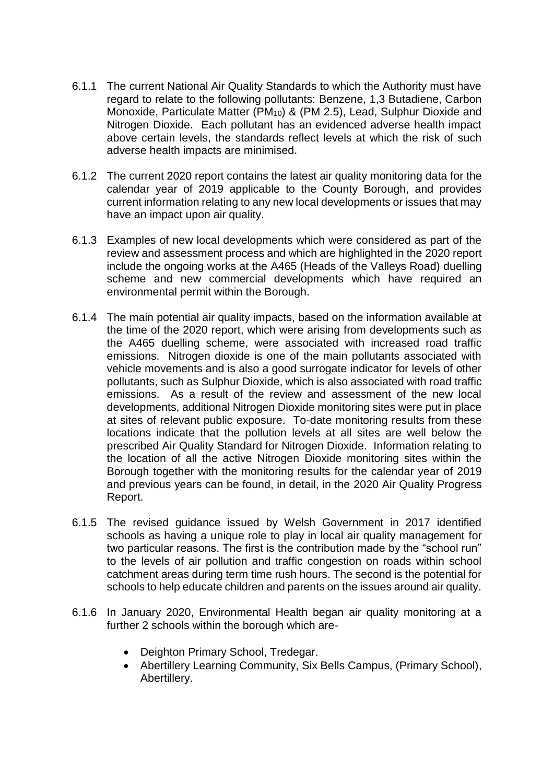- 6.1.1 The current National Air Quality Standards to which the Authority must have regard to relate to the following pollutants: Benzene, 1,3 Butadiene, Carbon Monoxide, Particulate Matter (PM<sub>10</sub>) & (PM 2.5), Lead, Sulphur Dioxide and Nitrogen Dioxide. Each pollutant has an evidenced adverse health impact above certain levels, the standards reflect levels at which the risk of such adverse health impacts are minimised.
- 6.1.2 The current 2020 report contains the latest air quality monitoring data for the calendar year of 2019 applicable to the County Borough, and provides current information relating to any new local developments or issues that may have an impact upon air quality.
- 6.1.3 Examples of new local developments which were considered as part of the review and assessment process and which are highlighted in the 2020 report include the ongoing works at the A465 (Heads of the Valleys Road) duelling scheme and new commercial developments which have required an environmental permit within the Borough.
- 6.1.4 The main potential air quality impacts, based on the information available at the time of the 2020 report, which were arising from developments such as the A465 duelling scheme, were associated with increased road traffic emissions. Nitrogen dioxide is one of the main pollutants associated with vehicle movements and is also a good surrogate indicator for levels of other pollutants, such as Sulphur Dioxide, which is also associated with road traffic emissions. As a result of the review and assessment of the new local developments, additional Nitrogen Dioxide monitoring sites were put in place at sites of relevant public exposure. To-date monitoring results from these locations indicate that the pollution levels at all sites are well below the prescribed Air Quality Standard for Nitrogen Dioxide. Information relating to the location of all the active Nitrogen Dioxide monitoring sites within the Borough together with the monitoring results for the calendar year of 2019 and previous years can be found, in detail, in the 2020 Air Quality Progress Report.
- 6.1.5 The revised guidance issued by Welsh Government in 2017 identified schools as having a unique role to play in local air quality management for two particular reasons. The first is the contribution made by the "school run" to the levels of air pollution and traffic congestion on roads within school catchment areas during term time rush hours. The second is the potential for schools to help educate children and parents on the issues around air quality.
- 6.1.6 In January 2020, Environmental Health began air quality monitoring at a further 2 schools within the borough which are-
	- Deighton Primary School, Tredegar.
	- Abertillery Learning Community, Six Bells Campus, (Primary School), Abertillery.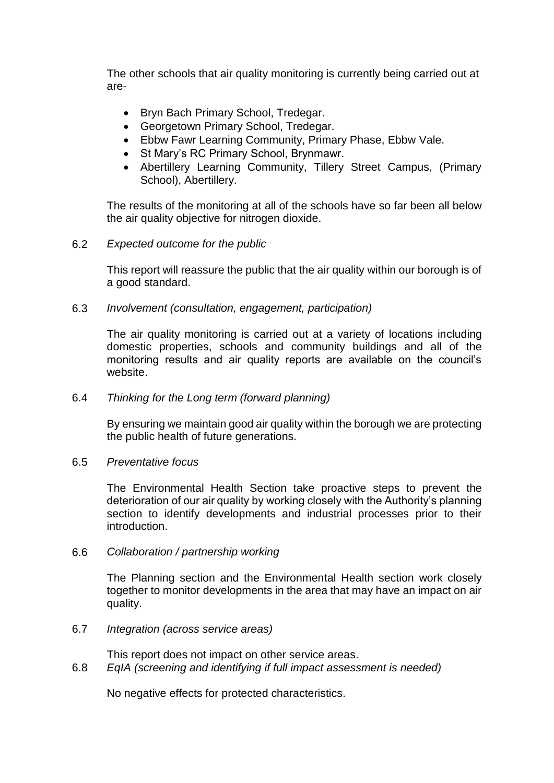The other schools that air quality monitoring is currently being carried out at are-

- Bryn Bach Primary School, Tredegar.
- Georgetown Primary School, Tredegar.
- Ebbw Fawr Learning Community, Primary Phase, Ebbw Vale.
- St Mary's RC Primary School, Brynmawr.
- Abertillery Learning Community, Tillery Street Campus, (Primary School), Abertillery.

The results of the monitoring at all of the schools have so far been all below the air quality objective for nitrogen dioxide.

#### 6.2 *Expected outcome for the public*

This report will reassure the public that the air quality within our borough is of a good standard.

6.3 *Involvement (consultation, engagement, participation)*

The air quality monitoring is carried out at a variety of locations including domestic properties, schools and community buildings and all of the monitoring results and air quality reports are available on the council's website.

### 6.4 *Thinking for the Long term (forward planning)*

By ensuring we maintain good air quality within the borough we are protecting the public health of future generations.

#### 6.5 *Preventative focus*

The Environmental Health Section take proactive steps to prevent the deterioration of our air quality by working closely with the Authority's planning section to identify developments and industrial processes prior to their introduction.

6.6 *Collaboration / partnership working*

The Planning section and the Environmental Health section work closely together to monitor developments in the area that may have an impact on air quality.

### 6.7 *Integration (across service areas)*

This report does not impact on other service areas. 6.8 *EqIA (screening and identifying if full impact assessment is needed)*

No negative effects for protected characteristics.